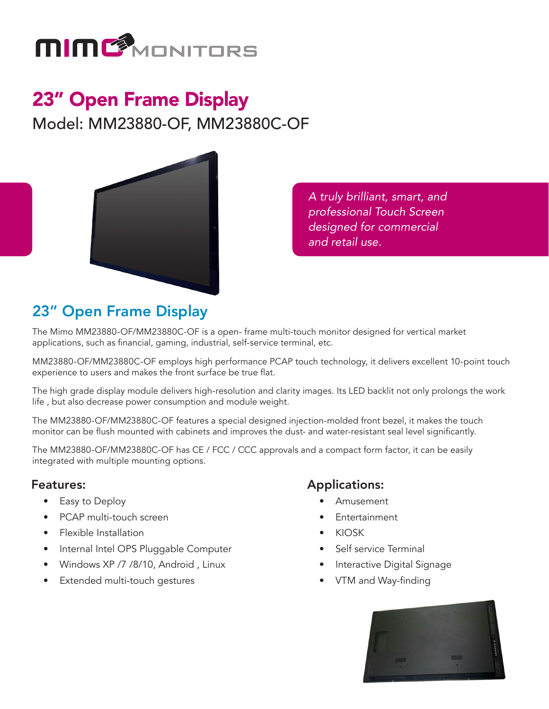

# 23" Open Frame Display

Model: MM23880-OF, MM23880C-OF



*A truly brilliant, smart, and professional Touch Screen designed for commercial and retail use.*

## 23" Open Frame Display

The Mimo MM23880-OF/MM23880C-OF is a open- frame multi-touch monitor designed for vertical market applications, such as financial, gaming, industrial, self-service terminal, etc.

MM23880-OF/MM23880C-OF employs high performance PCAP touch technology, it delivers excellent 10-point touch experience to users and makes the front surface be true flat.

The high grade display module delivers high-resolution and clarity images. Its LED backlit not only prolongs the work life , but also decrease power consumption and module weight.

The MM23880-OF/MM23880C-OF features a special designed injection-molded front bezel, it makes the touch monitor can be flush mounted with cabinets and improves the dust- and water-resistant seal level significantly.

The MM23880-OF/MM23880C-OF has CE / FCC / CCC approvals and a compact form factor, it can be easily integrated with multiple mounting options.

### Features:

- Easy to Deploy
- PCAP multi-touch screen
- Flexible Installation
- Internal Intel OPS Pluggable Computer
- Windows XP /7 /8/10, Android , Linux
- Extended multi-touch gestures

#### Applications:

- Amusement
- **Entertainment**
- KIOSK
- Self service Terminal
- Interactive Digital Signage
- VTM and Way-finding

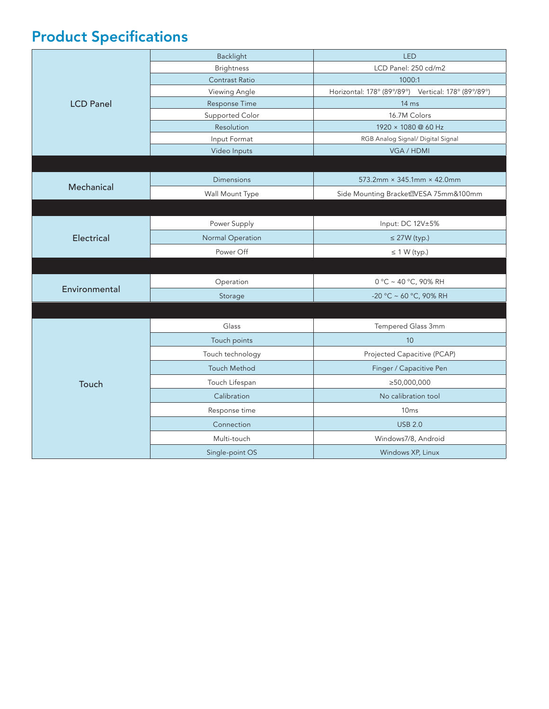# Product Specifications

| <b>LCD Panel</b> | Backlight               | <b>LED</b>                                          |
|------------------|-------------------------|-----------------------------------------------------|
|                  | <b>Brightness</b>       | LCD Panel: 250 cd/m2                                |
|                  | Contrast Ratio          | 1000:1                                              |
|                  | Viewing Angle           | Horizontal: 178° (89°/89°) Vertical: 178° (89°/89°) |
|                  | Response Time           | 14 ms                                               |
|                  | Supported Color         | 16.7M Colors                                        |
|                  | Resolution              | 1920 × 1080 @ 60 Hz                                 |
|                  | Input Format            | RGB Analog Signal/ Digital Signal                   |
|                  | Video Inputs            | VGA / HDMI                                          |
|                  |                         |                                                     |
| Mechanical       | <b>Dimensions</b>       | $573.2$ mm × 345.1mm × 42.0mm                       |
|                  | Wall Mount Type         | Side Mounting Bracket2VESA 75mm&100mm               |
|                  |                         |                                                     |
| Electrical       | Power Supply            | Input: DC 12V±5%                                    |
|                  | <b>Normal Operation</b> | $\leq$ 27W (typ.)                                   |
|                  | Power Off               | $\leq$ 1 W (typ.)                                   |
|                  |                         |                                                     |
| Environmental    | Operation               | 0 °C ~ 40 °C, 90% RH                                |
|                  | Storage                 | -20 °C ~ 60 °C, 90% RH                              |
|                  |                         |                                                     |
| Touch            | Glass                   | Tempered Glass 3mm                                  |
|                  | Touch points            | 10                                                  |
|                  | Touch technology        | Projected Capacitive (PCAP)                         |
|                  | <b>Touch Method</b>     | Finger / Capacitive Pen                             |
|                  | Touch Lifespan          | ≥50,000,000                                         |
|                  | Calibration             | No calibration tool                                 |
|                  | Response time           | 10 <sub>ms</sub>                                    |
|                  | Connection              | <b>USB 2.0</b>                                      |
|                  | Multi-touch             | Windows7/8, Android                                 |
|                  | Single-point OS         | Windows XP, Linux                                   |